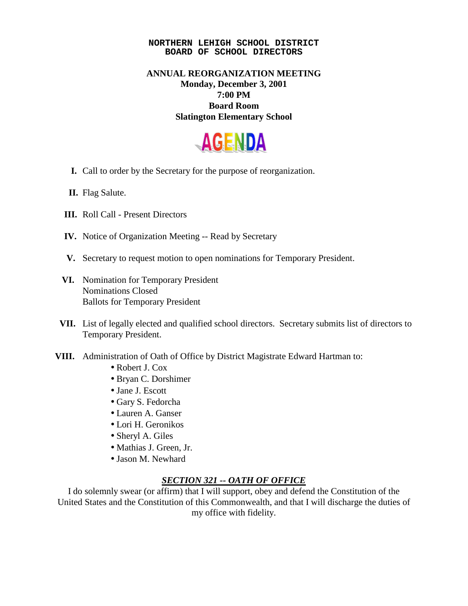## **NORTHERN LEHIGH SCHOOL DISTRICT BOARD OF SCHOOL DIRECTORS**

## **ANNUAL REORGANIZATION MEETING Monday, December 3, 2001 7:00 PM Board Room Slatington Elementary School**



- **I.** Call to order by the Secretary for the purpose of reorganization.
- **II.** Flag Salute.
- **III.** Roll Call Present Directors
- **IV.** Notice of Organization Meeting -- Read by Secretary
- **V.** Secretary to request motion to open nominations for Temporary President.
- **VI.** Nomination for Temporary President Nominations Closed Ballots for Temporary President
- **VII.** List of legally elected and qualified school directors. Secretary submits list of directors to Temporary President.
- **VIII.** Administration of Oath of Office by District Magistrate Edward Hartman to:
	- Robert J. Cox
	- Bryan C. Dorshimer
	- Jane J. Escott
	- Gary S. Fedorcha
	- Lauren A. Ganser
	- Lori H. Geronikos
	- Sheryl A. Giles
	- Mathias J. Green, Jr.
	- Jason M. Newhard

## *SECTION 321 -- OATH OF OFFICE*

I do solemnly swear (or affirm) that I will support, obey and defend the Constitution of the United States and the Constitution of this Commonwealth, and that I will discharge the duties of my office with fidelity.